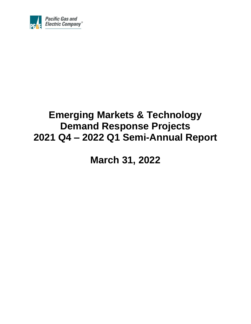

# **Emerging Markets & Technology Demand Response Projects 2021 Q4 – 2022 Q1 Semi-Annual Report**

**March 31, 2022**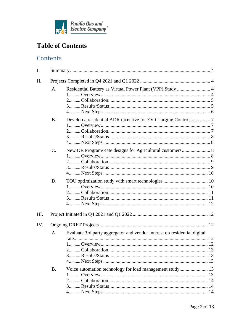

# **Table of Contents**

# Contents

| I.   |                |                                                                          |  |
|------|----------------|--------------------------------------------------------------------------|--|
| II.  |                |                                                                          |  |
|      | A <sub>1</sub> | Residential Battery as Virtual Power Plant (VPP) Study  4                |  |
|      | <b>B.</b>      |                                                                          |  |
|      | $C_{\cdot}$    | New DR Program/Rate designs for Agricultural customers 8                 |  |
|      | D.             |                                                                          |  |
| III. |                |                                                                          |  |
| IV.  |                |                                                                          |  |
|      | A.             | Evaluate 3rd party aggregator and vendor interest on residential digital |  |
|      | <b>B.</b>      |                                                                          |  |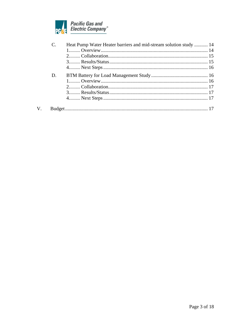

 $V<sub>1</sub>$ 

|    | Heat Pump Water Heater barriers and mid-stream solution study  14 |  |
|----|-------------------------------------------------------------------|--|
|    |                                                                   |  |
|    |                                                                   |  |
|    |                                                                   |  |
|    |                                                                   |  |
| D. |                                                                   |  |
|    |                                                                   |  |
|    |                                                                   |  |
|    |                                                                   |  |
|    |                                                                   |  |
|    |                                                                   |  |
|    |                                                                   |  |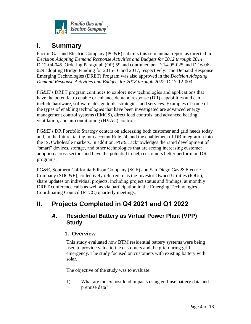

# <span id="page-3-0"></span>**I. Summary**

Pacific Gas and Electric Company (PG&E) submits this semiannual report as directed in *[Decision](http://docs.cpuc.ca.gov/word_pdf/FINAL_DECISION/106008.pdf) Adopting Demand Response Activities and Budgets for 2012 through 2014*, D.12-04-045, Ordering Paragraph (OP) 59 and continued per D.14-05-025 and D.16-06- 029 adopting Bridge Funding for 2015-16 and 2017, respectively. The Demand Response Emerging Technologies (DRET) Program was also approved in the *[Decision](http://docs.cpuc.ca.gov/word_pdf/FINAL_DECISION/106008.pdf) Adopting Demand Response Activities and Budgets for 2018 through 2022*, D.17-12-003.

PG&E's DRET program continues to explore new technologies and applications that have the potential to enable or enhance demand response (DR) capabilities and can include hardware, software, design tools, strategies, and services. Examples of some of the types of enabling technologies that have been investigated are advanced energy management control systems (EMCS), direct load controls, and advanced heating, ventilation, and air conditioning (HVAC) controls.

PG&E's DR Portfolio Strategy centers on addressing both customer and grid needs today and, in the future, taking into account Rule 24, and the enablement of DR integration into the ISO wholesale markets. In addition, PG&E acknowledges the rapid development of "smart" devices, storage, and other technologies that are seeing increasing customer adoption across sectors and have the potential to help customers better perform on DR programs.

PG&E, Southern California Edison Company (SCE) and San Diego Gas & Electric Company (SDG&E), collectively referred to as the Investor Owned Utilities (IOUs), share updates on individual projects, including project status and findings, at monthly DRET conference calls as well as via participation in the Emerging Technologies Coordinating Council (ETCC) quarterly meetings.

# <span id="page-3-2"></span><span id="page-3-1"></span>**II. Projects Completed in Q4 2021 and Q1 2022**

### <span id="page-3-3"></span>*A.* **Residential Battery as Virtual Power Plant (VPP) Study**

### **1. Overview**

This study evaluated how BTM residential battery systems were being used to provide value to the customers and the grid during grid emergency. The study focused on customers with existing battery with solar.

The objective of the study was to evaluate:

1) What are the ex post load impacts using end-use battery data and premise data?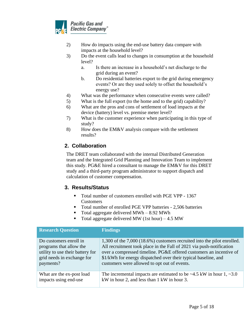

- 2) How do impacts using the end-use battery data compare with impacts at the household level?
- 3) Do the event calls lead to changes in consumption at the household level?
	- a. Is there an increase in a household's net discharge to the grid during an event?
	- b. Do residential batteries export to the grid during emergency events? Or are they used solely to offset the household's energy use?
- 4) What was the performance when consecutive events were called?
- 5) What is the full export (to the home and to the grid) capability?
- 6) What are the pros and cons of settlement of load impacts at the device (battery) level vs. premise meter level?
- 7) What is the customer experience when participating in this type of study?
- 8) How does the EM&V analysis compare with the settlement results?

### <span id="page-4-0"></span>**2. Collaboration**

The DRET team collaborated with the internal Distributed Generation team and the Integrated Grid Planning and Innovation Team to implement this study. PG&E hired a consultant to manage the EM&V for this DRET study and a third-party program administrator to support dispatch and calculation of customer compensation.

### <span id="page-4-1"></span>**3. Results/Status**

- Total number of customers enrolled with PGE VPP 1367 Customers
- Total number of enrolled PGE VPP batteries 2,506 batteries
- Total aggregate delivered MWh  $-8.92$  MWh
- Total aggregate delivered MW (1st hour)  $-4.5$  MW

| <b>Research Question</b>         | <b>Findings</b>                                                                 |
|----------------------------------|---------------------------------------------------------------------------------|
| Do customers enroll in           | $1,300$ of the $7,000$ (18.6%) customers recruited into the pilot enrolled.     |
| programs that allow the          | All recruitment took place in the Fall of 2021 via push-notification            |
| utility to use their battery for | over a compressed timeline. PG&E offered customers an incentive of              |
| grid needs in exchange for       | \$1/kWh for energy dispatched over their typical baseline, and                  |
| payments?                        | customers were allowed to opt out of events.                                    |
| What are the ex-post load        | The incremental impacts are estimated to be $\sim$ 4.5 kW in hour 1, $\sim$ 3.0 |
| impacts using end-use            | kW in hour 2, and less than 1 kW in hour 3.                                     |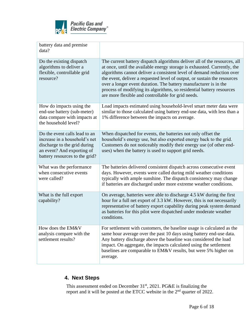

| battery data and premise<br>data?                                                                                                                              |                                                                                                                                                                                                                                                                                                                                                                                                                                                                                                               |
|----------------------------------------------------------------------------------------------------------------------------------------------------------------|---------------------------------------------------------------------------------------------------------------------------------------------------------------------------------------------------------------------------------------------------------------------------------------------------------------------------------------------------------------------------------------------------------------------------------------------------------------------------------------------------------------|
| Do the existing dispatch<br>algorithms to deliver a<br>flexible, controllable grid<br>resource?                                                                | The current battery dispatch algorithms deliver all of the resources, all<br>at once, until the available energy storage is exhausted. Currently, the<br>algorithms cannot deliver a consistent level of demand reduction over<br>the event, deliver a requested level of output, or sustain the resources<br>over a longer event duration. The battery manufacturer is in the<br>process of modifying its algorithms, so residential battery resources<br>are more flexible and controllable for grid needs. |
| How do impacts using the<br>end-use battery (sub-meter)<br>data compare with impacts at<br>the household level?                                                | Load impacts estimated using household-level smart meter data were<br>similar to those calculated using battery end-use data, with less than a<br>1% difference between the impacts on average.                                                                                                                                                                                                                                                                                                               |
| Do the event calls lead to an<br>increase in a household's net<br>discharge to the grid during<br>an event? And exporting of<br>battery resources to the grid? | When dispatched for events, the batteries not only offset the<br>household's energy use, but also exported energy back to the grid.<br>Customers do not noticeably modify their energy use (of other end-<br>uses) when the battery is used to support grid needs.                                                                                                                                                                                                                                            |
| What was the performance<br>when consecutive events<br>were called?                                                                                            | The batteries delivered consistent dispatch across consecutive event<br>days. However, events were called during mild weather conditions<br>typically with ample sunshine. The dispatch consistency may change<br>if batteries are discharged under more extreme weather conditions.                                                                                                                                                                                                                          |
| What is the full export<br>capability?                                                                                                                         | On average, batteries were able to discharge 4.5 kW during the first<br>hour for a full net export of 3.3 kW. However, this is not necessarily<br>representative of battery export capability during peak system demand<br>as batteries for this pilot were dispatched under moderate weather<br>conditions.                                                                                                                                                                                                  |
| How does the EM&V<br>analysis compare with the<br>settlement results?                                                                                          | For settlement with customers, the baseline usage is calculated as the<br>same hour average over the past 10 days using battery end-use data.<br>Any battery discharge above the baseline was considered the load<br>impact. On aggregate, the impacts calculated using the settlement<br>baselines are comparable to EM&V results, but were 5% higher on<br>average.                                                                                                                                         |

# <span id="page-5-0"></span>**4. Next Steps**

This assessment ended on December  $31<sup>st</sup>$ , 2021. PG&E is finalizing the report and it will be posted at the ETCC website in the  $2<sup>nd</sup>$  quarter of 2022.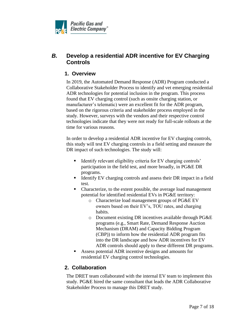

# <span id="page-6-1"></span><span id="page-6-0"></span>*B.* **Develop a residential ADR incentive for EV Charging Controls**

### **1. Overview**

In 2019, the Automated Demand Response (ADR) Program conducted a Collaborative Stakeholder Process to identify and vet emerging residential ADR technologies for potential inclusion in the program. This process found that EV charging control (such as onsite charging station, or manufacturer's telematic) were an excellent fit for the ADR program, based on the rigorous criteria and stakeholder process employed in the study. However, surveys with the vendors and their respective control technologies indicate that they were not ready for full-scale rollouts at the time for various reasons.

In order to develop a residential ADR incentive for EV charging controls, this study will test EV charging controls in a field setting and measure the DR impact of such technologies. The study will:

- Identify relevant eligibility criteria for EV charging controls' participation in the field test, and more broadly, in PG&E DR programs.
- Identify EV charging controls and assess their DR impact in a field test.
- Characterize, to the extent possible, the average load management potential for identified residential EVs in PG&E territory:
	- o Characterize load management groups of PG&E EV owners based on their EV's, TOU rates, and charging habits.
	- o Document existing DR incentives available through PG&E programs (e.g., Smart Rate, Demand Response Auction Mechanism (DRAM) and Capacity Bidding Program (CBP)) to inform how the residential ADR program fits into the DR landscape and how ADR incentives for EV ADR controls should apply to these different DR programs.
- Assess potential ADR incentive designs and amounts for residential EV charging control technologies.

### <span id="page-6-2"></span>**2. Collaboration**

The DRET team collaborated with the internal EV team to implement this study. PG&E hired the same consultant that leads the ADR Collaborative Stakeholder Process to manage this DRET study.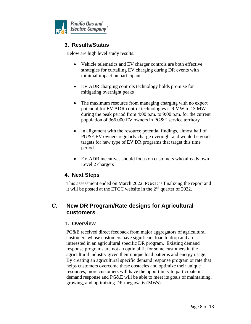<span id="page-7-0"></span>

### **3. Results/Status**

Below are high level study results:

- Vehicle telematics and EV charger controls are both effective strategies for curtailing EV charging during DR events with minimal impact on participants
- EV ADR charging controls technology holds promise for mitigating overnight peaks
- The maximum resource from managing charging with no export potential for EV ADR control technologies is 9 MW to 13 MW during the peak period from 4:00 p.m. to 9:00 p.m. for the current population of 366,000 EV owners in PG&E service territory
- In alignment with the resource potential findings, almost half of PG&E EV owners regularly charge overnight and would be good targets for new type of EV DR programs that target this time period.
- EV ADR incentives should focus on customers who already own Level 2 chargers

### <span id="page-7-1"></span>**4. Next Steps**

This assessment ended on March 2022. PG&E is finalizing the report and it will be posted at the ETCC website in the 2nd quarter of 2022.

### <span id="page-7-3"></span><span id="page-7-2"></span>*C.* **New DR Program/Rate designs for Agricultural customers**

### **1. Overview**

PG&E received direct feedback from major aggregators of agricultural customers whose customers have significant load to drop and are interested in an agricultural specific DR program. Existing demand response programs are not an optimal fit for some customers in the agricultural industry given their unique load patterns and energy usage. By creating an agricultural specific demand response program or rate that helps customers overcome these obstacles and optimize their unique resources, more customers will have the opportunity to participate in demand response and PG&E will be able to meet its goals of maintaining, growing, and optimizing DR megawatts (MWs).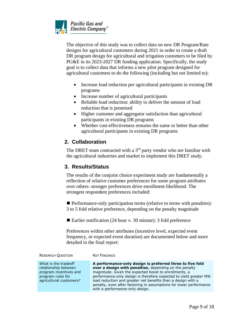

The objective of this study was to collect data on new DR Program/Rate designs for agricultural customers during 2021 in order to create a draft DR program design for agricultural and irrigation customers to be filed by PG&E in its 2023-2027 DR funding application. Specifically, the study goal is to collect data that informs a new pilot program designed for agricultural customers to do the following (including but not limited to):

- Increase load reduction per agricultural participants in existing DR programs
- Increase number of agricultural participants
- Reliable load reduction: ability to deliver the amount of load reduction that is promised
- Higher customer and aggregator satisfaction than agricultural participants in existing DR programs
- Whether cost-effectiveness remains the same or better than other agricultural participants in existing DR programs

### <span id="page-8-0"></span>**2. Collaboration**

The DRET team contracted with a  $3<sup>rd</sup>$  party vendor who are familiar with the agricultural industries and market to implement this DRET study.

### <span id="page-8-1"></span>**3. Results/Status**

The results of the conjoint choice experiment study are fundamentally a reflection of relative customer preferences for some program attributes over others: stronger preferences drive enrollment likelihood. The strongest respondent preferences included:

■ Performance-only participation terms (relative to terms with penalties): 3 to 5 fold relative preference, depending on the penalty magnitude

■ Earlier notification (24 hour v. 30 minute): 3 fold preference

Preferences within other attributes (incentive level, expected event frequency, or expected event duration) are documented below and more detailed in the final report:

| <b>RESEARCH QUESTION</b>                                                                                               | <b>KEY FINDINGS</b>                                                                                                                                                                                                                                                                                                                                                                                                                |
|------------------------------------------------------------------------------------------------------------------------|------------------------------------------------------------------------------------------------------------------------------------------------------------------------------------------------------------------------------------------------------------------------------------------------------------------------------------------------------------------------------------------------------------------------------------|
| What is the tradeoff<br>relationship between<br>program incentives and<br>program rules for<br>agricultural customers? | A performance-only design is preferred three to five fold<br><b>over a design with penalties</b> , depending on the penalty<br>magnitude. Given the expected boost to enrollments, a<br>performance-only design is therefore expected to yield greater MW<br>load reduction and greater net benefits than a design with a<br>penalty, even after factoring in assumptions for lower performance<br>with a performance-only design. |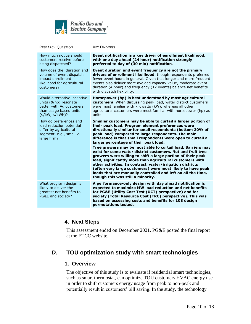

| <b>RESEARCH QUESTION</b>                                                                                                        | <b>KEY FINDINGS</b>                                                                                                                                                                                                                                                                                                                                                                                                                                                                                                                                                                                                                                                                                                                                                                                                                     |
|---------------------------------------------------------------------------------------------------------------------------------|-----------------------------------------------------------------------------------------------------------------------------------------------------------------------------------------------------------------------------------------------------------------------------------------------------------------------------------------------------------------------------------------------------------------------------------------------------------------------------------------------------------------------------------------------------------------------------------------------------------------------------------------------------------------------------------------------------------------------------------------------------------------------------------------------------------------------------------------|
| How much notice should<br>customers receive before<br>being dispatched?                                                         | Event notification is a key driver of enrollment likelihood,<br>with one day ahead (24 hour) notification strongly<br>preferred to day of (30 min) notification.                                                                                                                                                                                                                                                                                                                                                                                                                                                                                                                                                                                                                                                                        |
| How does the duration and<br>volume of event dispatch<br>impact enrollment<br>likelihood for agricultural<br>customers?         | Event duration and event frequency are not the primary<br>drivers of enrollment likelihood, though respondents preferred<br>fewer event hours in general. Given that longer and more frequent<br>events also deliver more avoided capacity value, moderate event<br>duration (4 hour) and frequency (12 events) balance net benefits<br>with dispatch flexibility.                                                                                                                                                                                                                                                                                                                                                                                                                                                                      |
| Would alternative incentive<br>units (\$/hp) resonate<br>better with Ag customers<br>than usage based units<br>(\$/kW, \$/kWh)? | Horsepower (hp) is best understood by most agricultural<br>customers. When discussing peak load, water district customers<br>were most familiar with kilowatts (kW), whereas all other<br>agricultural customers were most familiar with horsepower (hp) as<br>units.                                                                                                                                                                                                                                                                                                                                                                                                                                                                                                                                                                   |
| How do preferences and<br>load reduction potential<br>differ by agricultural<br>segment, e.g., small v.<br>large firm?          | Smaller customers may be able to curtail a larger portion of<br>their peak load. Program element preferences were<br>directionally similar for small respondents (bottom 20% of<br>peak load) compared to large respondents. The main<br>difference is that small respondents were open to curtail a<br>larger percentage of their peak load.<br>Tree growers may be most able to curtail load. Barriers may<br>exist for some water district customers. Nut and fruit tree<br>growers were willing to shift a large portion of their peak<br>load, significantly more than agricultural customers with<br>other activities. In contrast, water/irrigation districts<br>(often very large customers) were most likely to have peak<br>loads that are manually controlled and left on all the time,<br>though this was still a minority. |
| What program design is<br>likely to deliver the<br>greatest net benefits to<br>PG&E and society?                                | A performance-only design with day ahead notification is<br>expected to maximize MW load reduction and net benefits<br>for PG&E (Utility Cost Test (UCT) perspective) and for<br>society (Total Resource Cost (TRC) perspective). This was<br>based on assessing costs and benefits for 108 design<br>permutations tested.                                                                                                                                                                                                                                                                                                                                                                                                                                                                                                              |

### <span id="page-9-0"></span>**4. Next Steps**

This assessment ended on December 2021. PG&E posted the final report at the ETCC website.

# <span id="page-9-2"></span><span id="page-9-1"></span>*D.* **TOU optimization study with smart technologies**

#### **1. Overview**

The objective of this study is to evaluate if residential smart technologies, such as smart thermostat, can optimize TOU customers HVAC energy use in order to shift customers energy usage from peak to non-peak and potentially result in customers' bill saving. In the study, the technology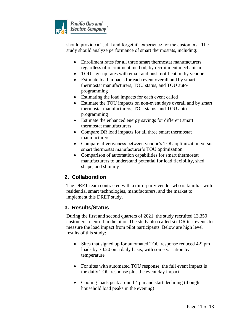

should provide a "set it and forget it" experience for the customers. The study should analyze performance of smart thermostats, including:

- Enrollment rates for all three smart thermostat manufacturers, regardless of recruitment method, by recruitment mechanism
- TOU sign-up rates with email and push notification by vendor
- Estimate load impacts for each event overall and by smart thermostat manufacturers, TOU status, and TOU autoprogramming
- Estimating the load impacts for each event called
- Estimate the TOU impacts on non-event days overall and by smart thermostat manufacturers, TOU status, and TOU autoprogramming
- Estimate the enhanced energy savings for different smart thermostat manufacturers
- Compare DR load impacts for all three smart thermostat manufacturers
- Compare effectiveness between vendor's TOU optimization versus smart thermostat manufacturer's TOU optimization
- Comparison of automation capabilities for smart thermostat manufacturers to understand potential for load flexibility, shed, shape, and shimmy

### <span id="page-10-0"></span>**2. Collaboration**

The DRET team contracted with a third-party vendor who is familiar with residential smart technologies, manufacturers, and the market to implement this DRET study.

### <span id="page-10-1"></span>**3. Results/Status**

During the first and second quarters of 2021, the study recruited 13,350 customers to enroll in the pilot. The study also called six DR test events to measure the load impact from pilot participants. Below are high level results of this study:

- Sites that signed up for automated TOU response reduced 4-9 pm loads by ~0.20 on a daily basis, with some variation by temperature
- For sites with automated TOU response, the full event impact is the daily TOU response plus the event day impact
- Cooling loads peak around 4 pm and start declining (though household load peaks in the evening)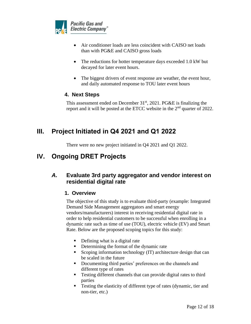

- Air conditioner loads are less coincident with CAISO net loads than with PG&E and CAISO gross loads
- The reductions for hotter temperature days exceeded 1.0 kW but decayed for later event hours.
- The biggest drivers of event response are weather, the event hour, and daily automated response to TOU later event hours

### <span id="page-11-0"></span>**4. Next Steps**

This assessment ended on December  $31<sup>st</sup>$ , 2021. PG&E is finalizing the report and it will be posted at the ETCC website in the 2<sup>nd</sup> quarter of 2022.

# <span id="page-11-1"></span>**III. Project Initiated in Q4 2021 and Q1 2022**

There were no new project initiated in Q4 2021 and Q1 2022.

# <span id="page-11-2"></span>**IV. Ongoing DRET Projects**

# <span id="page-11-4"></span><span id="page-11-3"></span>*A.* **Evaluate 3rd party aggregator and vendor interest on residential digital rate**

### **1. Overview**

The objective of this study is to evaluate third-party (example: Integrated Demand Side Management aggregators and smart energy vendors/manufacturers) interest in receiving residential digital rate in order to help residential customers to be successful when enrolling in a dynamic rate such as time of use (TOU), electric vehicle (EV) and Smart Rate. Below are the proposed scoping topics for this study:

- Defining what is a digital rate
- Determining the format of the dynamic rate
- Scoping information technology (IT) architecture design that can be scaled in the future
- Documenting third parties' preferences on the channels and different type of rates
- Testing different channels that can provide digital rates to third parties
- **•** Testing the elasticity of different type of rates (dynamic, tier and non-tier, etc.)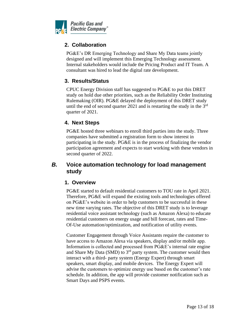<span id="page-12-0"></span>

### **2. Collaboration**

PG&E's DR Emerging Technology and Share My Data teams jointly designed and will implement this Emerging Technology assessment. Internal stakeholders would include the Pricing Product and IT Team. A consultant was hired to lead the digital rate development.

### <span id="page-12-1"></span>**3. Results/Status**

CPUC Energy Division staff has suggested to PG&E to put this DRET study on hold due other priorities, such as the Reliability Order Instituting Rulemaking (OIR). PG&E delayed the deployment of this DRET study until the end of second quarter 2021 and is restarting the study in the  $3<sup>rd</sup>$ quarter of 2021.

### <span id="page-12-2"></span>**4. Next Steps**

PG&E hosted three webinars to enroll third parties into the study. Three companies have submitted a registration form to show interest in participating in the study. PG&E is in the process of finalizing the vendor participation agreement and expects to start working with these vendors in second quarter of 2022.

# <span id="page-12-4"></span><span id="page-12-3"></span>*B.* **Voice automation technology for load management study**

### **1. Overview**

PG&E started to default residential customers to TOU rate in April 2021. Therefore, PG&E will expand the existing tools and technologies offered on PG&E's website in order to help customers to be successful in these new time varying rates. The objective of this DRET study is to leverage residential voice assistant technology (such as Amazon Alexa) to educate residential customers on energy usage and bill forecast, rates and Time-Of-Use automation/optimization, and notification of utility events.

Customer Engagement through Voice Assistants require the customer to have access to Amazon Alexa via speakers, display and/or mobile app. Information is collected and processed from PG&E's internal rate engine and Share My Data (SMD) to  $3<sup>rd</sup>$  party system. The customer would then interact with a third- party system (Energy Expert) through smart speakers, smart display, and mobile devices. The Energy Expert will advise the customers to optimize energy use based on the customer's rate schedule. In addition, the app will provide customer notification such as Smart Days and PSPS events.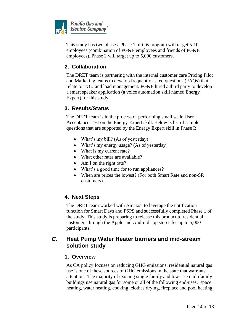

This study has two phases. Phase 1 of this program will target 5-10 employees (combination of PG&E employees and friends of PG&E employees). Phase 2 will target up to 5,000 customers.

### <span id="page-13-0"></span>**2. Collaboration**

The DRET team is partnering with the internal customer care Pricing Pilot and Marketing teams to develop frequently asked questions (FAQs) that relate to TOU and load management. PG&E hired a third party to develop a smart speaker application (a voice automation skill named Energy Expert) for this study.

### <span id="page-13-1"></span>**3. Results/Status**

The DRET team is in the process of performing small scale User Acceptance Test on the Energy Expert skill. Below is list of sample questions that are supported by the Energy Expert skill in Phase I:

- What's my bill? (As of yesterday)
- What's my energy usage? (As of yesterday)
- What is my current rate?
- What other rates are available?
- Am I on the right rate?
- What's a good time for to run appliances?
- When are prices the lowest? (For both Smart Rate and non-SR customers)

# <span id="page-13-2"></span>**4. Next Steps**

The DRET team worked with Amazon to leverage the notification function for Smart Days and PSPS and successfully completed Phase 1 of the study. This study is preparing to release this product to residential customers through the Apple and Android app stores for up to 5,000 participants.

### <span id="page-13-4"></span><span id="page-13-3"></span>*C.* **Heat Pump Water Heater barriers and mid-stream solution study**

### **1. Overview**

As CA policy focuses on reducing GHG emissions, residential natural gas use is one of these sources of GHG emissions in the state that warrants attention. The majority of existing single family and low-rise multifamily buildings use natural gas for some or all of the following end-uses: space heating, water heating, cooking, clothes drying, fireplace and pool heating.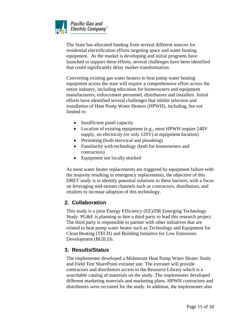

The State has allocated funding from several different sources for residential electrification efforts targeting space and water heating equipment. As the market is developing and initial programs have launched to support these efforts, several challenges have been identified that could significantly delay market transformation.

Converting existing gas water heaters to heat pump water heating equipment across the state will require a comprehensive effort across the entire industry, including education for homeowners and equipment manufacturers, enforcement personnel, distributors and installers. Initial efforts have identified several challenges that inhibit selection and installation of Heat Pump Water Heaters (HPWH), including, but not limited to:

- Insufficient panel capacity
- Location of existing equipment (e.g., most HPWH require 240V supply, no electricity (or only 120V) at equipment location)
- Permitting (both electrical and plumbing)
- Familiarity with technology (both for homeowners and contractors)
- Equipment not locally stocked

As most water heater replacements are triggered by equipment failure with the majority resulting in emergency replacements, the objective of this DRET study is to identify potential solutions to these barriers, with a focus on leveraging mid-stream channels such as contractors, distributors, and retailers to increase adoption of this technology.

### <span id="page-14-0"></span>**2. Collaboration**

This study is a joint Energy Efficiency (EE)/DR Emerging Technology Study. PG&E is planning to hire a third party to lead this research project. The third party is responsible to partner with other initiatives that are related to heat pump water heater such as Technology and Equipment for Clean Heating (TECH) and Building Initiative for Low Emissions Development (BUILD).

### <span id="page-14-1"></span>**3. Results/Status**

The implementer developed a Midstream Heat Pump Water Heater Study and Field Test SharePoint extranet site. The extranet will provide contractors and distributors access to the Resource Library which is a searchable catalog of materials on the study. The implementer developed different marketing materials and marketing plans. HPWH contractors and distributors were recruited for the study. In addition, the implementer also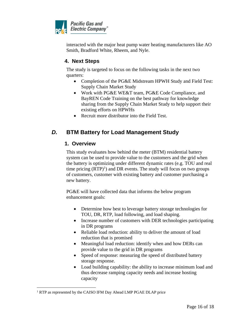

interacted with the major heat pump water heating manufacturers like AO Smith, Bradford White, Rheem, and Nyle.

### <span id="page-15-0"></span>**4. Next Steps**

The study is targeted to focus on the following tasks in the next two quarters:

- Completion of the PG&E Midstream HPWH Study and Field Test: Supply Chain Market Study
- Work with PG&E WE&T team, PG&E Code Compliance, and BayREN Code Training on the best pathway for knowledge sharing from the Supply Chain Market Study to help support their existing efforts on HPWHs
- Recruit more distributor into the Field Test.

# <span id="page-15-2"></span><span id="page-15-1"></span>*D.* **BTM Battery for Load Management Study**

### **1. Overview**

This study evaluates how behind the meter (BTM) residential battery system can be used to provide value to the customers and the grid when the battery is optimizing under different dynamic rates (e.g. TOU and real time pricing  $(RTP)^1$ ) and DR events. The study will focus on two groups of customers, customer with existing battery and customer purchasing a new battery.

PG&E will have collected data that informs the below program enhancement goals:

- Determine how best to leverage battery storage technologies for TOU, DR, RTP, load following, and load shaping.
- Increase number of customers with DER technologies participating in DR programs
- Reliable load reduction: ability to deliver the amount of load reduction that is promised
- Meaningful load reduction: identify when and how DERs can provide value to the grid in DR programs
- Speed of response: measuring the speed of distributed battery storage response.
- Load building capability: the ability to increase minimum load and thus decrease ramping capacity needs and increase hosting capacity

<sup>&</sup>lt;sup>1</sup> RTP as represented by the CAISO IFM Day Ahead LMP PGAE DLAP price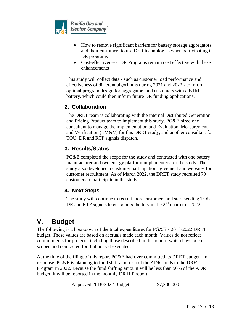

- How to remove significant barriers for battery storage aggregators and their customers to use DER technologies when participating in DR programs
- Cost-effectiveness: DR Programs remain cost effective with these enhancements

This study will collect data - such as customer load performance and effectiveness of different algorithms during 2021 and 2022 - to inform optimal program design for aggregators and customers with a BTM battery, which could then inform future DR funding applications.

### <span id="page-16-0"></span>**2. Collaboration**

The DRET team is collaborating with the internal Distributed Generation and Pricing Product team to implement this study. PG&E hired one consultant to manage the implementation and Evaluation, Measurement and Verification (EM&V) for this DRET study, and another consultant for TOU, DR and RTP signals dispatch.

### <span id="page-16-1"></span>**3. Results/Status**

PG&E completed the scope for the study and contracted with one battery manufacturer and two energy platform implementers for the study. The study also developed a customer participation agreement and websites for customer recruitment. As of March 2022, the DRET study recruited 70 customers to participate in the study.

# <span id="page-16-2"></span>**4. Next Steps**

The study will continue to recruit more customers and start sending TOU, DR and RTP signals to customers' battery in the 2<sup>nd</sup> quarter of 2022.

# <span id="page-16-3"></span>**V. Budget**

The following is a breakdown of the total expenditures for PG&E's 2018-2022 DRET budget. These values are based on accruals made each month. Values do not reflect commitments for projects, including those described in this report, which have been scoped and contracted for, but not yet executed.

At the time of the filing of this report PG&E had over committed its DRET budget. In response, PG&E is planning to fund shift a portion of the ADR funds to the DRET Program in 2022. Because the fund shifting amount will be less than 50% of the ADR budget, it will be reported in the monthly DR ILP report.

Approved 2018-2022 Budget \$7,230,000